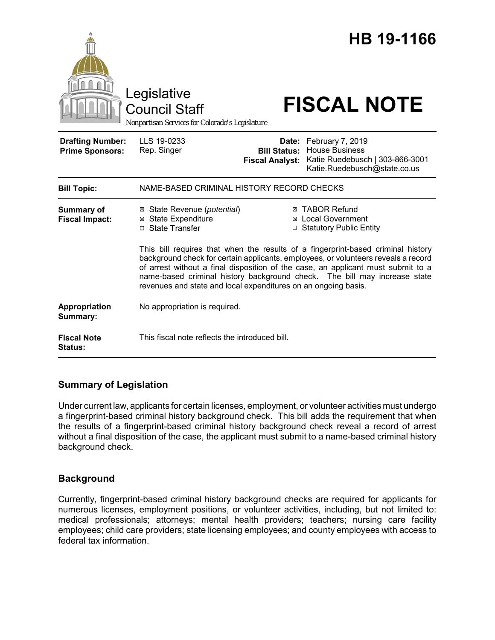|                                                   | Legislative<br><b>Council Staff</b><br>Nonpartisan Services for Colorado's Legislature                                                                                                                                                                                                                                                                                                                    |                                                        | HB 19-1166<br><b>FISCAL NOTE</b>                                                                             |
|---------------------------------------------------|-----------------------------------------------------------------------------------------------------------------------------------------------------------------------------------------------------------------------------------------------------------------------------------------------------------------------------------------------------------------------------------------------------------|--------------------------------------------------------|--------------------------------------------------------------------------------------------------------------|
| <b>Drafting Number:</b><br><b>Prime Sponsors:</b> | LLS 19-0233<br>Rep. Singer                                                                                                                                                                                                                                                                                                                                                                                | Date:<br><b>Bill Status:</b><br><b>Fiscal Analyst:</b> | February 7, 2019<br><b>House Business</b><br>Katie Ruedebusch   303-866-3001<br>Katie.Ruedebusch@state.co.us |
| <b>Bill Topic:</b>                                | NAME-BASED CRIMINAL HISTORY RECORD CHECKS                                                                                                                                                                                                                                                                                                                                                                 |                                                        |                                                                                                              |
| Summary of<br><b>Fiscal Impact:</b>               | ⊠ State Revenue ( <i>potential</i> )<br><b>⊠</b> State Expenditure<br>□ State Transfer                                                                                                                                                                                                                                                                                                                    |                                                        | <b>⊠ TABOR Refund</b><br>⊠ Local Government<br>□ Statutory Public Entity                                     |
|                                                   | This bill requires that when the results of a fingerprint-based criminal history<br>background check for certain applicants, employees, or volunteers reveals a record<br>of arrest without a final disposition of the case, an applicant must submit to a<br>name-based criminal history background check. The bill may increase state<br>revenues and state and local expenditures on an ongoing basis. |                                                        |                                                                                                              |
| Appropriation<br>Summary:                         | No appropriation is required.                                                                                                                                                                                                                                                                                                                                                                             |                                                        |                                                                                                              |
| <b>Fiscal Note</b><br><b>Status:</b>              | This fiscal note reflects the introduced bill.                                                                                                                                                                                                                                                                                                                                                            |                                                        |                                                                                                              |

# **Summary of Legislation**

Under current law, applicants for certain licenses, employment, or volunteer activities must undergo a fingerprint-based criminal history background check. This bill adds the requirement that when the results of a fingerprint-based criminal history background check reveal a record of arrest without a final disposition of the case, the applicant must submit to a name-based criminal history background check.

# **Background**

Currently, fingerprint-based criminal history background checks are required for applicants for numerous licenses, employment positions, or volunteer activities, including, but not limited to: medical professionals; attorneys; mental health providers; teachers; nursing care facility employees; child care providers; state licensing employees; and county employees with access to federal tax information.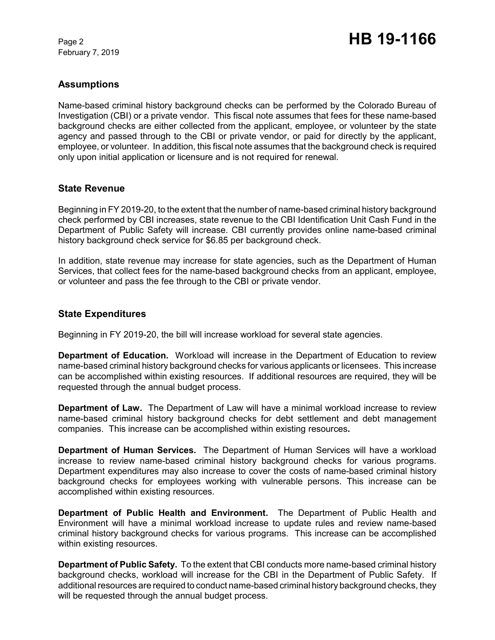February 7, 2019

# **Assumptions**

Name-based criminal history background checks can be performed by the Colorado Bureau of Investigation (CBI) or a private vendor. This fiscal note assumes that fees for these name-based background checks are either collected from the applicant, employee, or volunteer by the state agency and passed through to the CBI or private vendor, or paid for directly by the applicant, employee, or volunteer. In addition, this fiscal note assumes that the background check is required only upon initial application or licensure and is not required for renewal.

## **State Revenue**

Beginning in FY 2019-20, to the extent that the number of name-based criminal history background check performed by CBI increases, state revenue to the CBI Identification Unit Cash Fund in the Department of Public Safety will increase. CBI currently provides online name-based criminal history background check service for \$6.85 per background check.

In addition, state revenue may increase for state agencies, such as the Department of Human Services, that collect fees for the name-based background checks from an applicant, employee, or volunteer and pass the fee through to the CBI or private vendor.

### **State Expenditures**

Beginning in FY 2019-20, the bill will increase workload for several state agencies.

**Department of Education.** Workload will increase in the Department of Education to review name-based criminal history background checks for various applicants or licensees. This increase can be accomplished within existing resources.If additional resources are required, they will be requested through the annual budget process.

**Department of Law.** The Department of Law will have a minimal workload increase to review name-based criminal history background checks for debt settlement and debt management companies. This increase can be accomplished within existing resources**.**

**Department of Human Services.** The Department of Human Services will have a workload increase to review name-based criminal history background checks for various programs. Department expenditures may also increase to cover the costs of name-based criminal history background checks for employees working with vulnerable persons. This increase can be accomplished within existing resources.

**Department of Public Health and Environment.** The Department of Public Health and Environment will have a minimal workload increase to update rules and review name-based criminal history background checks for various programs. This increase can be accomplished within existing resources.

**Department of Public Safety.** To the extent that CBI conducts more name-based criminal history background checks, workload will increase for the CBI in the Department of Public Safety. If additional resources are required to conduct name-based criminal history background checks, they will be requested through the annual budget process.